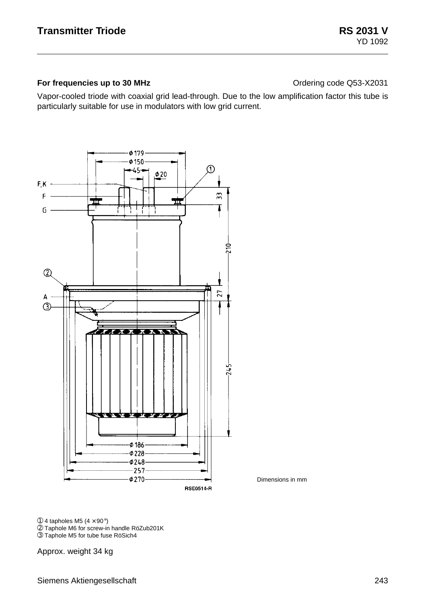#### **For frequencies up to 30 MHz Contact Contact Contact Contact Contact Contact Contact Contact Contact Contact Contact Contact Contact Contact Contact Contact Contact Contact Contact Contact Contact Contact Contact Contac**

Vapor-cooled triode with coaxial grid lead-through. Due to the low amplification factor this tube is particularly suitable for use in modulators with low grid current.



Dimensions in mm

 $\circledR$  4 tapholes M5 (4  $\times$  90 $\circ$ )

➁ Taphole M6 for screw-in handle RöZub201K

➂ Taphole M5 for tube fuse RöSich4

Approx. weight 34 kg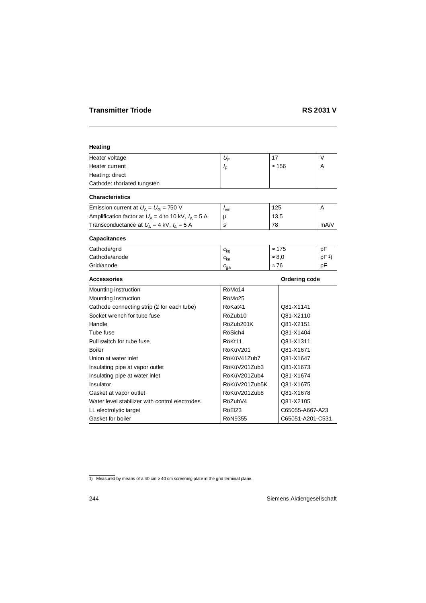### **Heating**

| Heater voltage                                          | $U_{\mathsf{F}}$            | 17            |                      | $\vee$          |
|---------------------------------------------------------|-----------------------------|---------------|----------------------|-----------------|
| Heater current                                          | $I_{\rm F}$                 | $\approx 156$ |                      | A               |
| Heating: direct                                         |                             |               |                      |                 |
| Cathode: thoriated tungsten                             |                             |               |                      |                 |
| <b>Characteristics</b>                                  |                             |               |                      |                 |
| Emission current at $U_A = U_G = 750$ V                 | $I_{\sf em}$                | 125           |                      | A               |
| Amplification factor at $U_A$ = 4 to 10 kV, $I_A$ = 5 A | μ                           | 13,5          |                      |                 |
| Transconductance at $U_A = 4$ kV, $I_A = 5$ A           | s                           | 78            |                      | mA/V            |
| Capacitances                                            |                             |               |                      |                 |
| Cathode/grid                                            | $c_{\rm ka}$                | $\approx 175$ |                      | pF              |
| Cathode/anode                                           | $c_{\rm ka}$                | $\approx 8.0$ |                      | pF <sup>1</sup> |
| Grid/anode                                              | $c_{\rm ga}$                | $\approx 76$  |                      | pF              |
| <b>Accessories</b>                                      |                             |               | <b>Ordering code</b> |                 |
| Mounting instruction                                    | RöMo14                      |               |                      |                 |
| Mounting instruction                                    | RöMo <sub>25</sub>          |               |                      |                 |
| Cathode connecting strip (2 for each tube)              | RöKat41<br>Q81-X1141        |               |                      |                 |
| Socket wrench for tube fuse                             | RöZub10                     | Q81-X2110     |                      |                 |
| Handle                                                  | RöZub201K<br>Q81-X2151      |               |                      |                 |
| Tube fuse                                               | RöSich4                     | Q81-X1404     |                      |                 |
| Pull switch for tube fuse                               | RöKt11<br>Q81-X1311         |               |                      |                 |
| <b>Boiler</b>                                           | RöKüV201<br>Q81-X1671       |               |                      |                 |
| Union at water inlet                                    | RöKüV41Zub7<br>Q81-X1647    |               |                      |                 |
| Insulating pipe at vapor outlet                         | RöKüV201Zub3                | Q81-X1673     |                      |                 |
| Insulating pipe at water inlet                          | RöKüV201Zub4<br>Q81-X1674   |               |                      |                 |
| Insulator                                               | RöKüV201Zub5K<br>Q81-X1675  |               |                      |                 |
| Gasket at vapor outlet                                  | RöKüV201Zub8<br>Q81-X1678   |               |                      |                 |
| Water level stabilizer with control electrodes          | RöZubV4                     |               | Q81-X2105            |                 |
| LL electrolytic target                                  | RöEl23<br>C65055-A667-A23   |               |                      |                 |
| Gasket for boiler                                       | RöN9355<br>C65051-A201-C531 |               |                      |                 |

<sup>1)</sup> Measured by means of a 40 cm  $\times$  40 cm screening plate in the grid terminal plane.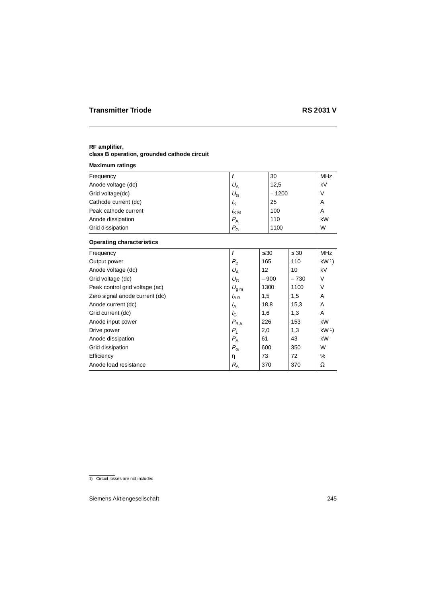# **RF amplifier,**

## **class B operation, grounded cathode circuit**

## **Maximum ratings**

| Frequency            |                  | 30      | <b>MHz</b> |
|----------------------|------------------|---------|------------|
| Anode voltage (dc)   | $U_{\rm A}$      | 12,5    | kV         |
| Grid voltage(dc)     | $U_{\rm G}$      | $-1200$ |            |
| Cathode current (dc) | $I_{\mathsf{K}}$ | 25      | A          |
| Peak cathode current | $I_{KM}$         | 100     | A          |
| Anode dissipation    | $P_{A}$          | 110     | kW         |
| Grid dissipation     | $P_{\rm G}$      | 1100    | W          |
|                      |                  |         |            |

## **Operating characteristics**

| Frequency                      | f                | $\leq 30$ | $\leq 30$ | MHz             |
|--------------------------------|------------------|-----------|-----------|-----------------|
| Output power                   | P <sub>2</sub>   | 165       | 110       | kW <sup>1</sup> |
| Anode voltage (dc)             | $U_{\rm A}$      | 12        | 10        | kV              |
| Grid voltage (dc)              | $U_{\rm G}$      | $-900$    | $-730$    | V               |
| Peak control grid voltage (ac) | $U_{\text{g m}}$ | 1300      | 1100      | V               |
| Zero signal anode current (dc) | $I_{A0}$         | 1,5       | 1,5       | Α               |
| Anode current (dc)             | $I_A$            | 18,8      | 15,3      | A               |
| Grid current (dc)              | $I_{G}$          | 1,6       | 1,3       | A               |
| Anode input power              | $P_{BA}$         | 226       | 153       | kW              |
| Drive power                    | $P_{1}$          | 2,0       | 1,3       | kW <sup>1</sup> |
| Anode dissipation              | $P_{\rm A}$      | 61        | 43        | kW              |
| Grid dissipation               | $P_{G}$          | 600       | 350       | W               |
| Efficiency                     | η                | 73        | 72        | $\%$            |
| Anode load resistance          | $R_{\rm A}$      | 370       | 370       | Ω               |

<sup>1)</sup> Circuit losses are not included.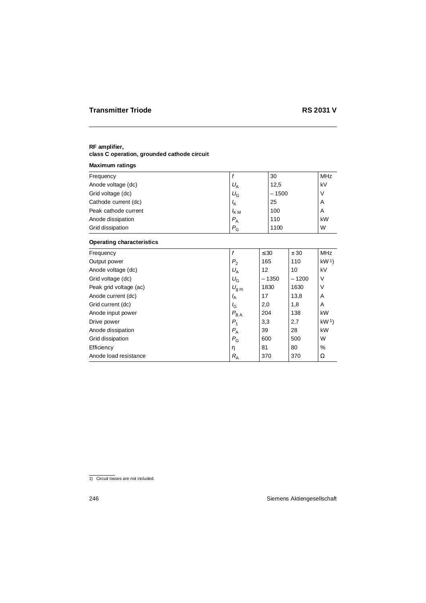#### **RF amplifier,**

## **class C operation, grounded cathode circuit**

## **Maximum ratings**

| Frequency            |                  | 30      | <b>MHz</b> |
|----------------------|------------------|---------|------------|
| Anode voltage (dc)   | $U_{\rm A}$      | 12,5    | kV         |
| Grid voltage (dc)    | $U_{\rm G}$      | $-1500$ |            |
| Cathode current (dc) | $I_{\mathsf{K}}$ | 25      | A          |
| Peak cathode current | $I_{KM}$         | 100     | A          |
| Anode dissipation    | $P_{A}$          | 110     | kW         |
| Grid dissipation     | $P_{\rm G}$      | 1100    | W          |
|                      |                  |         |            |

## **Operating characteristics**

| Frequency              | f                | $\leq 30$ | $\leq 30$ | <b>MHz</b>      |
|------------------------|------------------|-----------|-----------|-----------------|
| Output power           | P <sub>2</sub>   | 165       | 110       | kW <sup>1</sup> |
| Anode voltage (dc)     | $U_{\rm A}$      | 12        | 10        | kV              |
| Grid voltage (dc)      | $U_{\rm G}$      | $-1350$   | $-1200$   | V               |
| Peak grid voltage (ac) | $U_{\text{g m}}$ | 1830      | 1630      | ٧               |
| Anode current (dc)     | $I_{\rm A}$      | 17        | 13,8      | A               |
| Grid current (dc)      | $I_{G}$          | 2,0       | 1,8       | Α               |
| Anode input power      | $P_{BA}$         | 204       | 138       | kW              |
| Drive power            | $P_1$            | 3,3       | 2,7       | kW <sup>1</sup> |
| Anode dissipation      | $P_{\rm A}$      | 39        | 28        | kW              |
| Grid dissipation       | $P_{\rm G}$      | 600       | 500       | W               |
| Efficiency             | η                | 81        | 80        | $\%$            |
| Anode load resistance  | $R_{\rm A}$      | 370       | 370       | Ω               |

<sup>1)</sup> Circuit losses are not included.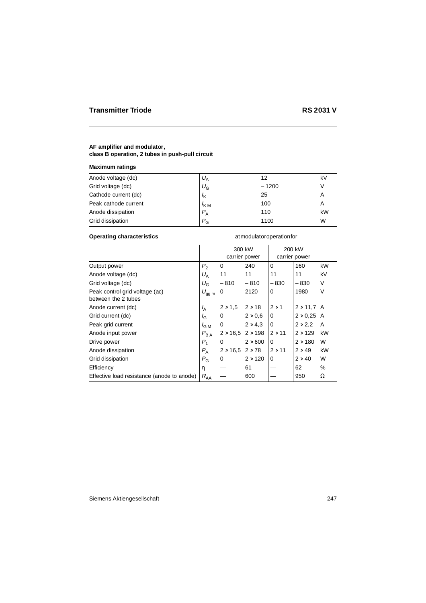#### **Maximum ratings**

| Anode voltage (dc)   | $U_{\mathsf{A}}$ | 12      | kV |
|----------------------|------------------|---------|----|
| Grid voltage (dc)    | $U_{\rm G}$      | $-1200$ |    |
| Cathode current (dc) | $I_{\mathsf{K}}$ | 25      | A  |
| Peak cathode current | $K_{\rm M}$      | 100     | A  |
| Anode dissipation    | $P_{\rm A}$      | 110     | kW |
| Grid dissipation     | $P_{G}$          | 1100    | W  |

#### **Operating characteristics** at modulator operation for

|                                                       |                  |                 | 300 kW<br>carrier power |               | 200 kW<br>carrier power |      |
|-------------------------------------------------------|------------------|-----------------|-------------------------|---------------|-------------------------|------|
| Output power                                          | P <sub>2</sub>   | 0               | 240                     | 0             | 160                     | kW   |
| Anode voltage (dc)                                    | $U_A$            | 11              | 11                      | 11            | 11                      | kV   |
| Grid voltage (dc)                                     | $U_{\rm G}$      | $-810$          | $-810$                  | $-830$        | $-830$                  | V    |
| Peak control grid voltage (ac)<br>between the 2 tubes | $U_{gg\;m}$      | 0               | 2120                    | 0             | 1980                    | V    |
| Anode current (dc)                                    | $I_{\rm A}$      | $2 \times 1.5$  | $2 \times 18$           | $2 \times 1$  | $2 \times 11.7$         | A    |
| Grid current (dc)                                     | $I_{G}$          | 0               | $2\times0.6$            | 0             | $2 \times 0.25$         | A    |
| Peak grid current                                     | $I_{\text{G M}}$ | 0               | $2 \times 4.3$          | $\Omega$      | $2 \times 2.2$          | A    |
| Anode input power                                     | $P_{BA}$         | $2 \times 16.5$ | $2 \times 198$          | $2 \times 11$ | $2 \times 129$          | kW   |
| Drive power                                           | $P_1$            | 0               | $2 \times 600$          | $\Omega$      | $2 \times 180$          | W    |
| Anode dissipation                                     | $P_{\rm A}$      | $2 \times 16.5$ | $2 \times 78$           | $2 \times 11$ | $2 \times 49$           | kW   |
| Grid dissipation                                      | $P_{\rm G}$      | 0               | $2 \times 120$          | 0             | $2 \times 40$           | W    |
| Efficiency                                            | η                |                 | 61                      |               | 62                      | $\%$ |
| Effective load resistance (anode to anode)            | $R_{AA}$         |                 | 600                     |               | 950                     | Ω    |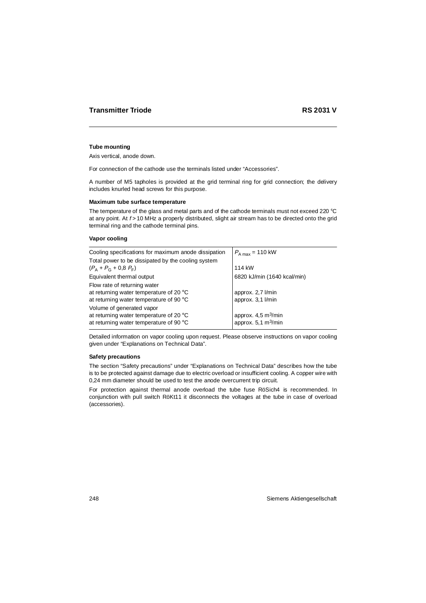#### **Tube mounting**

Axis vertical, anode down.

For connection of the cathode use the terminals listed under "Accessories".

A number of M5 tapholes is provided at the grid terminal ring for grid connection; the delivery includes knurled head screws for this purpose.

#### **Maximum tube surface temperature**

The temperature of the glass and metal parts and of the cathode terminals must not exceed 220 °C at any point. At  $f > 10$  MHz a properly distributed, slight air stream has to be directed onto the grid terminal ring and the cathode terminal pins.

#### **Vapor cooling**

| Cooling specifications for maximum anode dissipation | $P_{A max}$ = 110 kW            |
|------------------------------------------------------|---------------------------------|
| Total power to be dissipated by the cooling system   |                                 |
| $(P_A + P_G + 0.8 F_F)$                              | 114 kW                          |
| Equivalent thermal output                            | 6820 kJ/min (1640 kcal/min)     |
| Flow rate of returning water                         |                                 |
| at returning water temperature of 20 $\degree$ C     | approx. 2,7 l/min               |
| at returning water temperature of 90 °C              | approx. 3,1 l/min               |
| Volume of generated vapor                            |                                 |
| at returning water temperature of 20 °C              | approx. 4,5 m <sup>3</sup> /min |
| at returning water temperature of 90 °C              | approx. 5,1 m <sup>3</sup> /min |

Detailed information on vapor cooling upon request. Please observe instructions on vapor cooling given under "Explanations on Technical Data".

#### **Safety precautions**

The section "Safety precautions" under "Explanations on Technical Data" describes how the tube is to be protected against damage due to electric overload or insufficient cooling. A copper wire with 0,24 mm diameter should be used to test the anode overcurrent trip circuit.

For protection against thermal anode overload the tube fuse RöSich4 is recommended. In conjunction with pull switch RöKt11 it disconnects the voltages at the tube in case of overload (accessories).